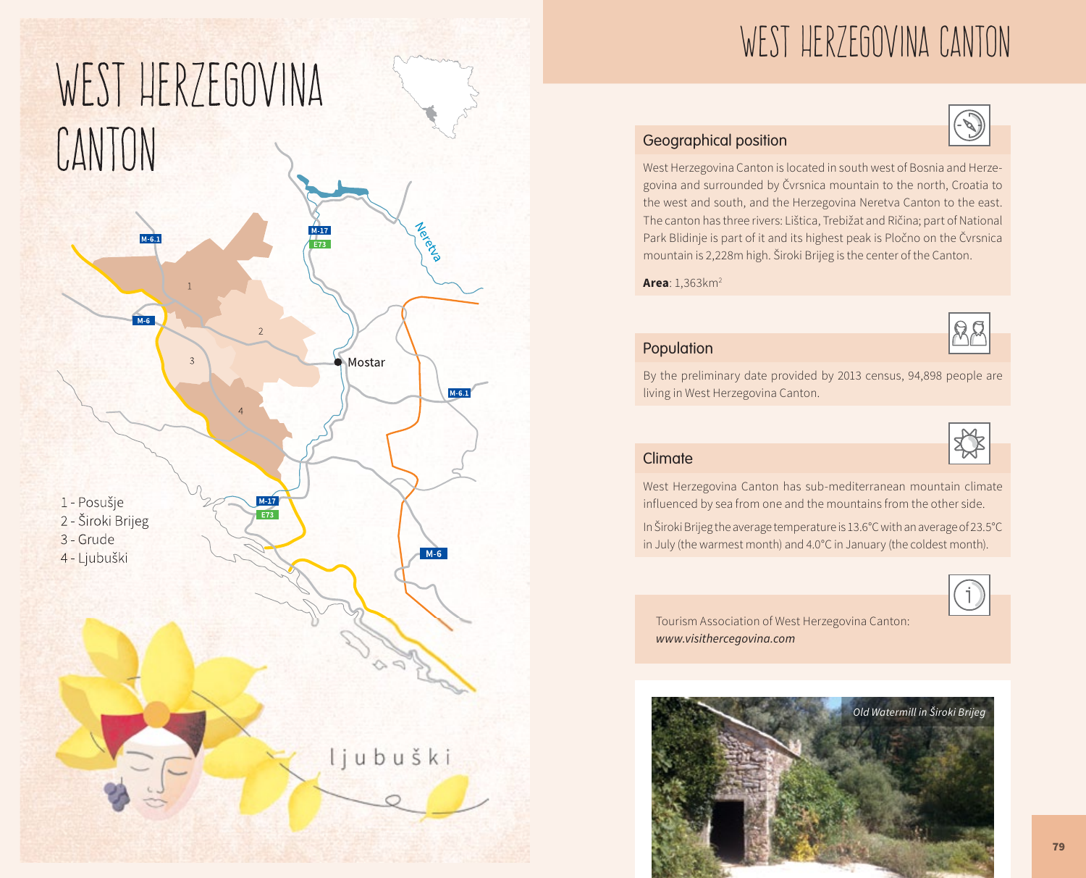

# WEST HERZEGOVINA CANTON

## Geographical position

West Herzegovina Canton is located in south west of Bosnia and Herzegovina and surrounded by Čvrsnica mountain to the north, Croatia to the west and south, and the Herzegovina Neretva Canton to the east. The canton has three rivers: Lištica, Trebižat and Ričina; part of National Park Blidinje is part of it and its highest peak is Pločno on the Čvrsnica mountain is 2,228m high. Široki Brijeg is the center of the Canton.

**Area**: 1,363km2



#### Population

By the preliminary date provided by 2013 census, 94,898 people are living in West Herzegovina Canton.



West Herzegovina Canton has sub-mediterranean mountain climate influenced by sea from one and the mountains from the other side.

In Široki Brijeg the average temperature is 13.6°C with an average of 23.5°C in July (the warmest month) and 4.0°C in January (the coldest month).



Tourism Association of West Herzegovina Canton: *www.visithercegovina.com*

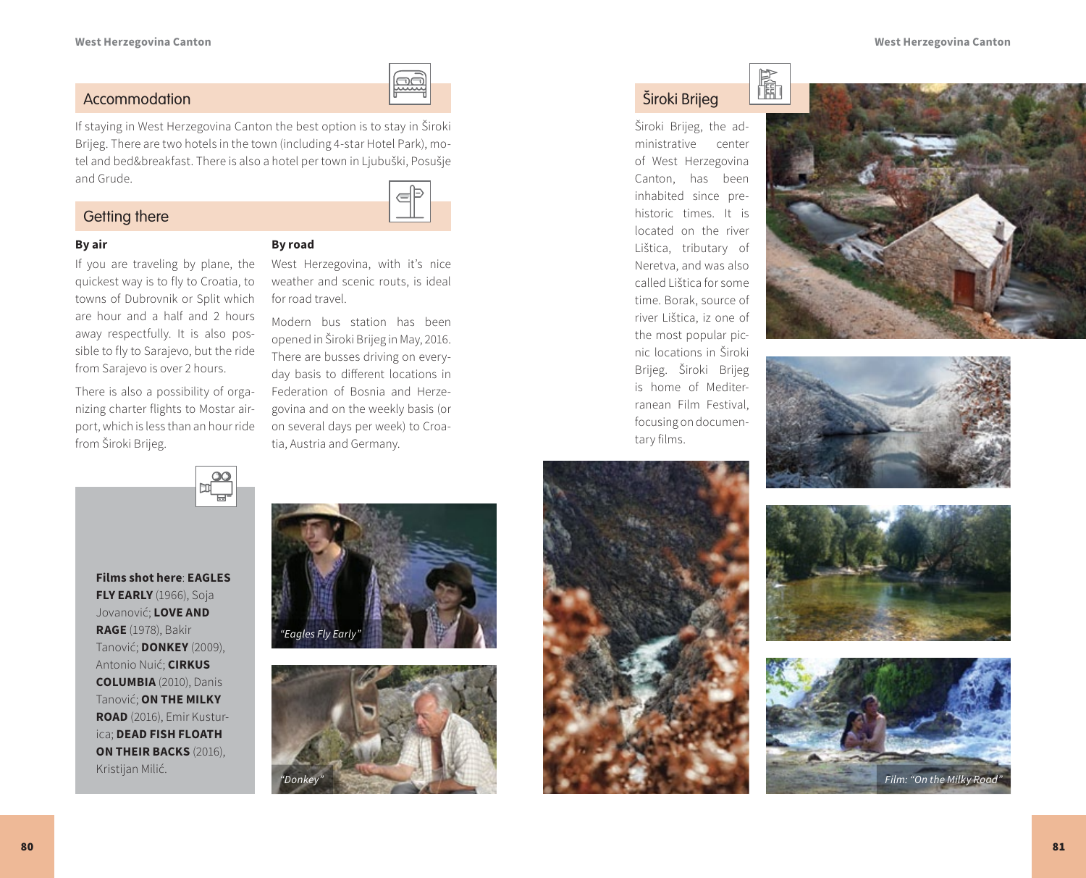

#### Accommodation

If staying in West Herzegovina Canton the best option is to stay in Široki Brijeg. There are two hotels in the town (including 4-star Hotel Park), motel and bed&breakfast. There is also a hotel per town in Ljubuški, Posušje and Grude.

#### Getting there



#### **By air**

If you are traveling by plane, the quickest way is to fly to Croatia, to towns of Dubrovnik or Split which are hour and a half and 2 hours away respectfully. It is also possible to fly to Sarajevo, but the ride from Sarajevo is over 2 hours.

There is also a possibility of organizing charter flights to Mostar airport, which is less than an hour ride from Široki Brijeg.



## **By road**

West Herzegovina, with it's nice weather and scenic routs, is ideal for road travel.

Modern bus station has been opened in Široki Brijeg in May, 2016. There are busses driving on everyday basis to different locations in Federation of Bosnia and Herzegovina and on the weekly basis (or on several days per week) to Croatia, Austria and Germany.

# Široki Brijeg

Široki Brijeg, the administrative center of West Herzegovina Canton, has been inhabited since prehistoric times. It is located on the river Lištica, tributary of Neretva, and was also called Lištica for some time. Borak, source of river Lištica, iz one of the most popular picnic locations in Široki Brijeg. Široki Brijeg is home of Mediterranean Film Festival, focusing on documentary films.















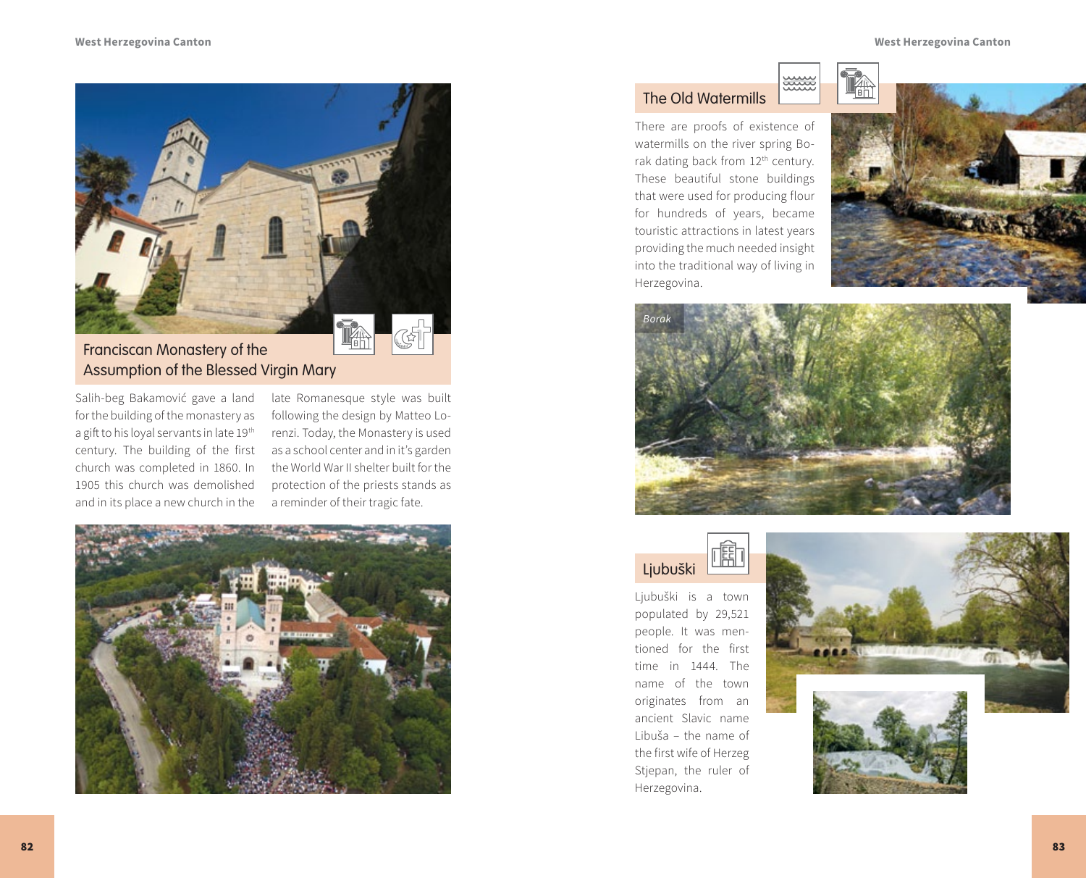

# Franciscan Monastery of the Assumption of the Blessed Virgin Mary

Salih-beg Bakamović gave a land for the building of the monastery as a gift to his loyal servants in late 19<sup>th</sup> century. The building of the first church was completed in 1860. In 1905 this church was demolished and in its place a new church in the

late Romanesque style was built following the design by Matteo Lorenzi. Today, the Monastery is used as a school center and in it's garden the World War II shelter built for the protection of the priests stands as a reminder of their tragic fate.



## The Old Watermills

There are proofs of existence of watermills on the river spring Borak dating back from 12<sup>th</sup> century. These beautiful stone buildings that were used for producing flour for hundreds of years, became touristic attractions in latest years providing the much needed insight into the traditional way of living in Herzegovina.





ww



Ljubuški is a town populated by 29,521 people. It was mentioned for the first time in 1444. The name of the town originates from an ancient Slavic name Libuša – the name of the first wife of Herzeg Stjepan, the ruler of Herzegovina.